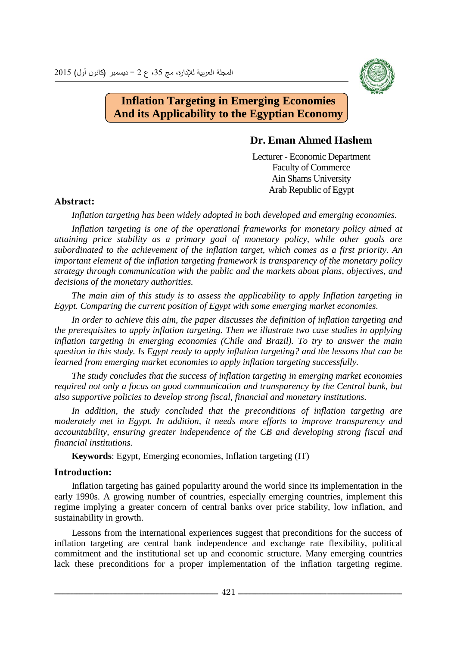

# **Inflation Targeting in Emerging Economies And its Applicability to the Egyptian Economy**

# **Dr. Eman Ahmed Hashem**

Lecturer - Economic Department Faculty of Commerce Ain Shams University Arab Republic of Egypt

# **Abstract:**

*Inflation targeting has been widely adopted in both developed and emerging economies.*

*Inflation targeting is one of the operational frameworks for monetary policy aimed at attaining price stability as a primary goal of monetary policy, while other goals are subordinated to the achievement of the inflation target, which comes as a first priority. An important element of the inflation targeting framework is transparency of the monetary policy strategy through communication with the public and the markets about plans, objectives, and decisions of the monetary authorities.*

*The main aim of this study is to assess the applicability to apply Inflation targeting in Egypt. Comparing the current position of Egypt with some emerging market economies.* 

*In order to achieve this aim, the paper discusses the definition of inflation targeting and the prerequisites to apply inflation targeting. Then we illustrate two case studies in applying inflation targeting in emerging economies (Chile and Brazil). To try to answer the main question in this study. Is Egypt ready to apply inflation targeting? and the lessons that can be learned from emerging market economies to apply inflation targeting successfully.* 

*The study concludes that the success of inflation targeting in emerging market economies required not only a focus on good communication and transparency by the Central bank, but also supportive policies to develop strong fiscal, financial and monetary institutions.*

*In addition, the study concluded that the preconditions of inflation targeting are moderately met in Egypt. In addition, it needs more efforts to improve transparency and accountability, ensuring greater independence of the CB and developing strong fiscal and financial institutions.*

**Keywords**: Egypt, Emerging economies, Inflation targeting (IT)

## **Introduction:**

Inflation targeting has gained popularity around the world since its implementation in the early 1990s. A growing number of countries, especially emerging countries, implement this regime implying a greater concern of central banks over price stability, low inflation, and sustainability in growth.

Lessons from the international experiences suggest that preconditions for the success of inflation targeting are central bank independence and exchange rate flexibility, political commitment and the institutional set up and economic structure. Many emerging countries lack these preconditions for a proper implementation of the inflation targeting regime.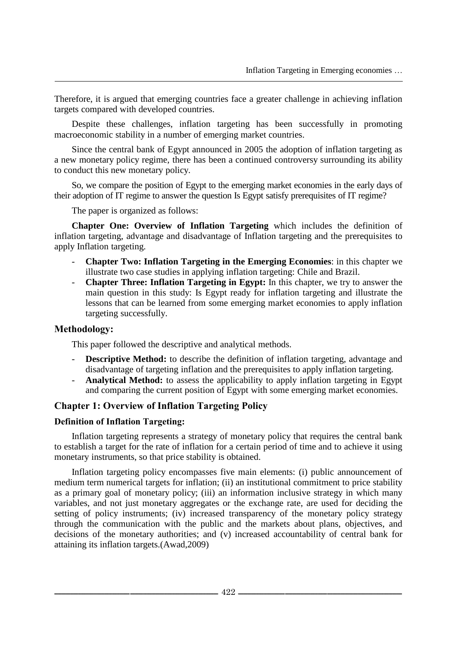Therefore, it is argued that emerging countries face a greater challenge in achieving inflation targets compared with developed countries.

Despite these challenges, inflation targeting has been successfully in promoting macroeconomic stability in a number of emerging market countries.

Since the central bank of Egypt announced in 2005 the adoption of inflation targeting as a new monetary policy regime, there has been a continued controversy surrounding its ability to conduct this new monetary policy.

So, we compare the position of Egypt to the emerging market economies in the early days of their adoption of IT regime to answer the question Is Egypt satisfy prerequisites of IT regime?

The paper is organized as follows:

**Chapter One: Overview of Inflation Targeting** which includes the definition of inflation targeting, advantage and disadvantage of Inflation targeting and the prerequisites to apply Inflation targeting.

- **Chapter Two: Inflation Targeting in the Emerging Economies**: in this chapter we illustrate two case studies in applying inflation targeting: Chile and Brazil.
- **Chapter Three: Inflation Targeting in Egypt:** In this chapter, we try to answer the main question in this study: Is Egypt ready for inflation targeting and illustrate the lessons that can be learned from some emerging market economies to apply inflation targeting successfully.

## **Methodology:**

This paper followed the descriptive and analytical methods.

- **Descriptive Method:** to describe the definition of inflation targeting, advantage and disadvantage of targeting inflation and the prerequisites to apply inflation targeting.
- Analytical Method: to assess the applicability to apply inflation targeting in Egypt and comparing the current position of Egypt with some emerging market economies.

# **Chapter 1: Overview of Inflation Targeting Policy**

#### **Definition of Inflation Targeting:**

Inflation targeting represents a strategy of monetary policy that requires the central bank to establish a target for the rate of inflation for a certain period of time and to achieve it using monetary instruments, so that price stability is obtained.

Inflation targeting policy encompasses five main elements: (i) public announcement of medium term numerical targets for inflation; (ii) an institutional commitment to price stability as a primary goal of monetary policy; (iii) an information inclusive strategy in which many variables, and not just monetary aggregates or the exchange rate, are used for deciding the setting of policy instruments; (iv) increased transparency of the monetary policy strategy through the communication with the public and the markets about plans, objectives, and decisions of the monetary authorities; and (v) increased accountability of central bank for attaining its inflation targets.(Awad,2009)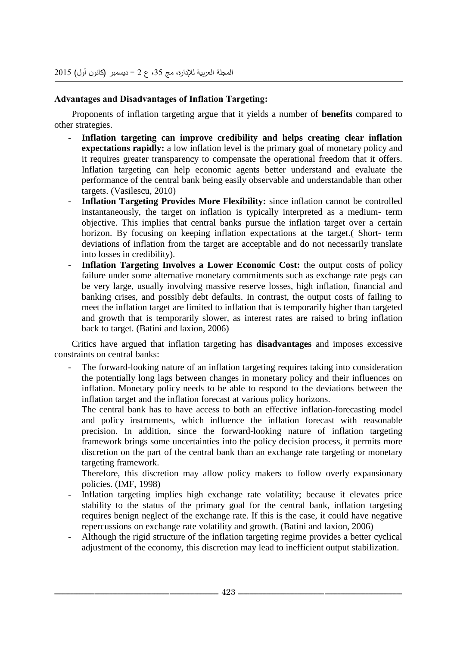## **Advantages and Disadvantages of Inflation Targeting:**

Proponents of inflation targeting argue that it yields a number of **benefits** compared to other strategies.

- **Inflation targeting can improve credibility and helps creating clear inflation expectations rapidly:** a low inflation level is the primary goal of monetary policy and it requires greater transparency to compensate the operational freedom that it offers. Inflation targeting can help economic agents better understand and evaluate the performance of the central bank being easily observable and understandable than other targets. (Vasilescu, 2010)
- Inflation Targeting Provides More Flexibility: since inflation cannot be controlled instantaneously, the target on inflation is typically interpreted as a medium- term objective. This implies that central banks pursue the inflation target over a certain horizon. By focusing on keeping inflation expectations at the target.( Short- term deviations of inflation from the target are acceptable and do not necessarily translate into losses in credibility).
- **Inflation Targeting Involves a Lower Economic Cost:** the output costs of policy failure under some alternative monetary commitments such as exchange rate pegs can be very large, usually involving massive reserve losses, high inflation, financial and banking crises, and possibly debt defaults. In contrast, the output costs of failing to meet the inflation target are limited to inflation that is temporarily higher than targeted and growth that is temporarily slower, as interest rates are raised to bring inflation back to target. (Batini and laxion, 2006)

Critics have argued that inflation targeting has **disadvantages** and imposes excessive constraints on central banks:

The forward-looking nature of an inflation targeting requires taking into consideration the potentially long lags between changes in monetary policy and their influences on inflation. Monetary policy needs to be able to respond to the deviations between the inflation target and the inflation forecast at various policy horizons.

The central bank has to have access to both an effective inflation-forecasting model and policy instruments, which influence the inflation forecast with reasonable precision. In addition, since the forward-looking nature of inflation targeting framework brings some uncertainties into the policy decision process, it permits more discretion on the part of the central bank than an exchange rate targeting or monetary targeting framework.

Therefore, this discretion may allow policy makers to follow overly expansionary policies. (IMF, 1998)

- Inflation targeting implies high exchange rate volatility; because it elevates price stability to the status of the primary goal for the central bank, inflation targeting requires benign neglect of the exchange rate. If this is the case, it could have negative repercussions on exchange rate volatility and growth. (Batini and laxion, 2006)
- Although the rigid structure of the inflation targeting regime provides a better cyclical adjustment of the economy, this discretion may lead to inefficient output stabilization.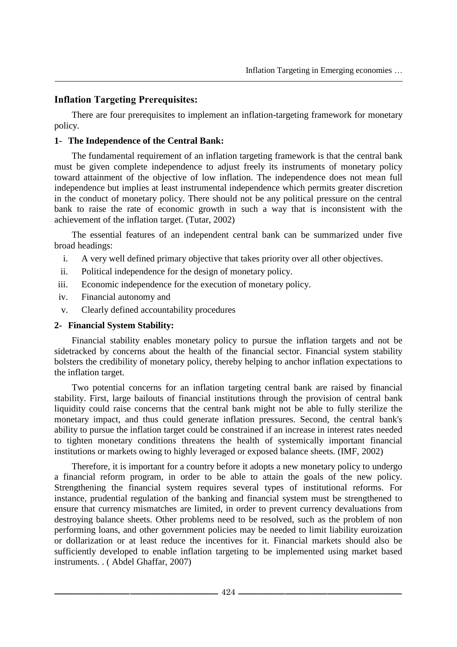# **Inflation Targeting Prerequisites:**

There are four prerequisites to implement an inflation-targeting framework for monetary policy.

## **1- The Independence of the Central Bank:**

The fundamental requirement of an inflation targeting framework is that the central bank must be given complete independence to adjust freely its instruments of monetary policy toward attainment of the objective of low inflation. The independence does not mean full independence but implies at least instrumental independence which permits greater discretion in the conduct of monetary policy. There should not be any political pressure on the central bank to raise the rate of economic growth in such a way that is inconsistent with the achievement of the inflation target. (Tutar, 2002)

The essential features of an independent central bank can be summarized under five broad headings:

- i. A very well defined primary objective that takes priority over all other objectives.
- ii. Political independence for the design of monetary policy.
- iii. Economic independence for the execution of monetary policy.
- iv. Financial autonomy and
- v. Clearly defined accountability procedures

#### **2- Financial System Stability:**

Financial stability enables monetary policy to pursue the inflation targets and not be sidetracked by concerns about the health of the financial sector. Financial system stability bolsters the credibility of monetary policy, thereby helping to anchor inflation expectations to the inflation target.

Two potential concerns for an inflation targeting central bank are raised by financial stability. First, large bailouts of financial institutions through the provision of central bank liquidity could raise concerns that the central bank might not be able to fully sterilize the monetary impact, and thus could generate inflation pressures. Second, the central bank's ability to pursue the inflation target could be constrained if an increase in interest rates needed to tighten monetary conditions threatens the health of systemically important financial institutions or markets owing to highly leveraged or exposed balance sheets. (IMF, 2002)

Therefore, it is important for a country before it adopts a new monetary policy to undergo a financial reform program, in order to be able to attain the goals of the new policy. Strengthening the financial system requires several types of institutional reforms. For instance, prudential regulation of the banking and financial system must be strengthened to ensure that currency mismatches are limited, in order to prevent currency devaluations from destroying balance sheets. Other problems need to be resolved, such as the problem of non performing loans, and other government policies may be needed to limit liability euroization or dollarization or at least reduce the incentives for it. Financial markets should also be sufficiently developed to enable inflation targeting to be implemented using market based instruments. . ( Abdel Ghaffar, 2007)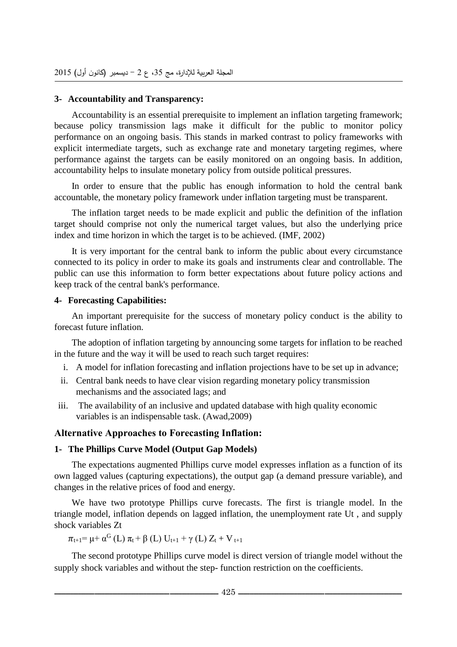#### **3- Accountability and Transparency:**

Accountability is an essential prerequisite to implement an inflation targeting framework; because policy transmission lags make it difficult for the public to monitor policy performance on an ongoing basis. This stands in marked contrast to policy frameworks with explicit intermediate targets, such as exchange rate and monetary targeting regimes, where performance against the targets can be easily monitored on an ongoing basis. In addition, accountability helps to insulate monetary policy from outside political pressures.

In order to ensure that the public has enough information to hold the central bank accountable, the monetary policy framework under inflation targeting must be transparent.

The inflation target needs to be made explicit and public the definition of the inflation target should comprise not only the numerical target values, but also the underlying price index and time horizon in which the target is to be achieved. (IMF, 2002)

It is very important for the central bank to inform the public about every circumstance connected to its policy in order to make its goals and instruments clear and controllable. The public can use this information to form better expectations about future policy actions and keep track of the central bank's performance.

## **4- Forecasting Capabilities:**

An important prerequisite for the success of monetary policy conduct is the ability to forecast future inflation.

The adoption of inflation targeting by announcing some targets for inflation to be reached in the future and the way it will be used to reach such target requires:

- i. A model for inflation forecasting and inflation projections have to be set up in advance;
- ii. Central bank needs to have clear vision regarding monetary policy transmission mechanisms and the associated lags; and
- iii. The availability of an inclusive and updated database with high quality economic variables is an indispensable task. (Awad,2009)

## **Alternative Approaches to Forecasting Inflation:**

## **1- The Phillips Curve Model (Output Gap Models)**

The expectations augmented Phillips curve model expresses inflation as a function of its own lagged values (capturing expectations), the output gap (a demand pressure variable), and changes in the relative prices of food and energy.

We have two prototype Phillips curve forecasts. The first is triangle model. In the triangle model, inflation depends on lagged inflation, the unemployment rate Ut , and supply shock variables Zt

$$
\pi_{t+1} \!\!= \mu \!+ \alpha^G\left(L\right) \pi_t \!+ \beta\left(L\right) U_{t+1} + \gamma\left(L\right) Z_t + V_{t+1}
$$

The second prototype Phillips curve model is direct version of triangle model without the supply shock variables and without the step- function restriction on the coefficients.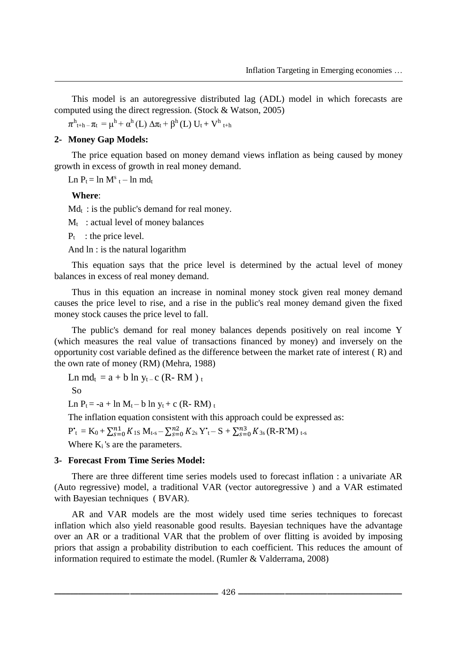This model is an autoregressive distributed lag (ADL) model in which forecasts are computed using the direct regression. (Stock & Watson, 2005)

 $\pi^{\rm h}{}_{\rm t+h-}\pi_{\rm t}=\mu^{\rm h}+\alpha^{\rm h}\left({\rm L}\right)\Delta\pi_{\rm t}+\beta^{\rm h}\left({\rm L}\right)\,{{\rm U}}_{\rm t}+{{\rm V}}^{\rm h}{}_{\rm t+h}$ 

## **2- Money Gap Models:**

The price equation based on money demand views inflation as being caused by money growth in excess of growth in real money demand.

 $\text{Ln } P_t = \ln M^s_t - \ln md_t$ 

#### **Where**:

 $Md_t$ : is the public's demand for real money.

 $M_t$ : actual level of money balances

 $P_t$ : the price level.

And ln : is the natural logarithm

This equation says that the price level is determined by the actual level of money balances in excess of real money demand.

Thus in this equation an increase in nominal money stock given real money demand causes the price level to rise, and a rise in the public's real money demand given the fixed money stock causes the price level to fall.

The public's demand for real money balances depends positively on real income Y (which measures the real value of transactions financed by money) and inversely on the opportunity cost variable defined as the difference between the market rate of interest ( R) and the own rate of money (RM) (Mehra, 1988)

Ln md<sub>t</sub> =  $a + b \ln y_t$  – c (R-RM)<sub>t</sub>

So

Ln  $P_t = -a + \ln M_t - b \ln y_t + c$  (R-RM) t

The inflation equation consistent with this approach could be expressed as:

 $P^{\ast}_{\phantom{i}t} = K_0 + \sum_{s=0}^{n1} K_{1s} M_{t-s} - \sum_{s=0}^{n2} K_{2s} Y^{\ast}_{\phantom{i}t} - S + \sum_{s=0}^{n3} K_{3s} (R\text{-}R^{\ast}M)_{\phantom{i}t-s}$ 

Where  $K_i$ 's are the parameters.

#### **3- Forecast From Time Series Model:**

There are three different time series models used to forecast inflation : a univariate AR (Auto regressive) model, a traditional VAR (vector autoregressive ) and a VAR estimated with Bayesian techniques ( BVAR).

AR and VAR models are the most widely used time series techniques to forecast inflation which also yield reasonable good results. Bayesian techniques have the advantage over an AR or a traditional VAR that the problem of over flitting is avoided by imposing priors that assign a probability distribution to each coefficient. This reduces the amount of information required to estimate the model. (Rumler & Valderrama, 2008)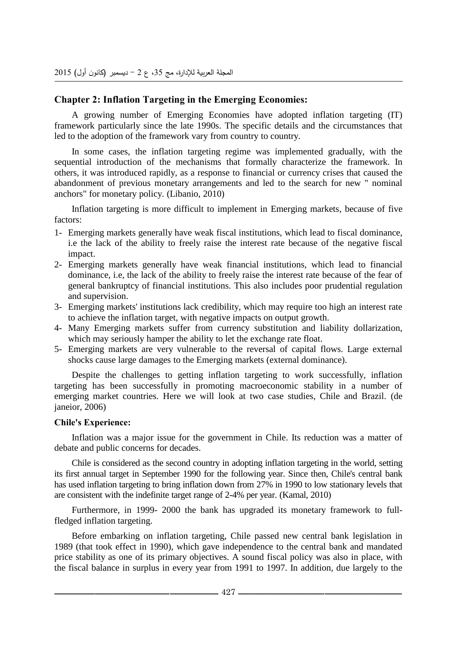# **Chapter 2: Inflation Targeting in the Emerging Economies:**

A growing number of Emerging Economies have adopted inflation targeting (IT) framework particularly since the late 1990s. The specific details and the circumstances that led to the adoption of the framework vary from country to country.

In some cases, the inflation targeting regime was implemented gradually, with the sequential introduction of the mechanisms that formally characterize the framework. In others, it was introduced rapidly, as a response to financial or currency crises that caused the abandonment of previous monetary arrangements and led to the search for new " nominal anchors" for monetary policy. (Libanio, 2010)

Inflation targeting is more difficult to implement in Emerging markets, because of five factors:

- 1- Emerging markets generally have weak fiscal institutions, which lead to fiscal dominance, i.e the lack of the ability to freely raise the interest rate because of the negative fiscal impact.
- 2- Emerging markets generally have weak financial institutions, which lead to financial dominance, i.e, the lack of the ability to freely raise the interest rate because of the fear of general bankruptcy of financial institutions. This also includes poor prudential regulation and supervision.
- 3- Emerging markets' institutions lack credibility, which may require too high an interest rate to achieve the inflation target, with negative impacts on output growth.
- 4- Many Emerging markets suffer from currency substitution and liability dollarization, which may seriously hamper the ability to let the exchange rate float.
- 5- Emerging markets are very vulnerable to the reversal of capital flows. Large external shocks cause large damages to the Emerging markets (external dominance).

Despite the challenges to getting inflation targeting to work successfully, inflation targeting has been successfully in promoting macroeconomic stability in a number of emerging market countries. Here we will look at two case studies, Chile and Brazil. (de janeior, 2006)

## **Chile's Experience:**

Inflation was a major issue for the government in Chile. Its reduction was a matter of debate and public concerns for decades.

Chile is considered as the second country in adopting inflation targeting in the world, setting its first annual target in September 1990 for the following year. Since then, Chile's central bank has used inflation targeting to bring inflation down from 27% in 1990 to low stationary levels that are consistent with the indefinite target range of 2-4% per year. (Kamal, 2010)

Furthermore, in 1999- 2000 the bank has upgraded its monetary framework to fullfledged inflation targeting.

Before embarking on inflation targeting, Chile passed new central bank legislation in 1989 (that took effect in 1990), which gave independence to the central bank and mandated price stability as one of its primary objectives. A sound fiscal policy was also in place, with the fiscal balance in surplus in every year from 1991 to 1997. In addition, due largely to the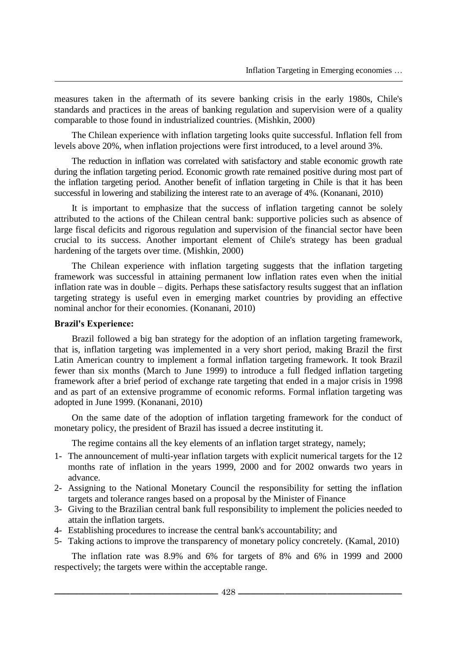measures taken in the aftermath of its severe banking crisis in the early 1980s, Chile's standards and practices in the areas of banking regulation and supervision were of a quality comparable to those found in industrialized countries. (Mishkin, 2000)

The Chilean experience with inflation targeting looks quite successful. Inflation fell from levels above 20%, when inflation projections were first introduced, to a level around 3%.

The reduction in inflation was correlated with satisfactory and stable economic growth rate during the inflation targeting period. Economic growth rate remained positive during most part of the inflation targeting period. Another benefit of inflation targeting in Chile is that it has been successful in lowering and stabilizing the interest rate to an average of 4%. (Konanani, 2010)

It is important to emphasize that the success of inflation targeting cannot be solely attributed to the actions of the Chilean central bank: supportive policies such as absence of large fiscal deficits and rigorous regulation and supervision of the financial sector have been crucial to its success. Another important element of Chile's strategy has been gradual hardening of the targets over time. (Mishkin, 2000)

The Chilean experience with inflation targeting suggests that the inflation targeting framework was successful in attaining permanent low inflation rates even when the initial inflation rate was in double – digits. Perhaps these satisfactory results suggest that an inflation targeting strategy is useful even in emerging market countries by providing an effective nominal anchor for their economies. (Konanani, 2010)

#### **Brazil's Experience:**

Brazil followed a big ban strategy for the adoption of an inflation targeting framework, that is, inflation targeting was implemented in a very short period, making Brazil the first Latin American country to implement a formal inflation targeting framework. It took Brazil fewer than six months (March to June 1999) to introduce a full fledged inflation targeting framework after a brief period of exchange rate targeting that ended in a major crisis in 1998 and as part of an extensive programme of economic reforms. Formal inflation targeting was adopted in June 1999. (Konanani, 2010)

On the same date of the adoption of inflation targeting framework for the conduct of monetary policy, the president of Brazil has issued a decree instituting it.

The regime contains all the key elements of an inflation target strategy, namely;

- 1- The announcement of multi-year inflation targets with explicit numerical targets for the 12 months rate of inflation in the years 1999, 2000 and for 2002 onwards two years in advance.
- 2- Assigning to the National Monetary Council the responsibility for setting the inflation targets and tolerance ranges based on a proposal by the Minister of Finance
- 3- Giving to the Brazilian central bank full responsibility to implement the policies needed to attain the inflation targets.
- 4- Establishing procedures to increase the central bank's accountability; and
- 5- Taking actions to improve the transparency of monetary policy concretely. (Kamal, 2010)

The inflation rate was 8.9% and 6% for targets of 8% and 6% in 1999 and 2000 respectively; the targets were within the acceptable range.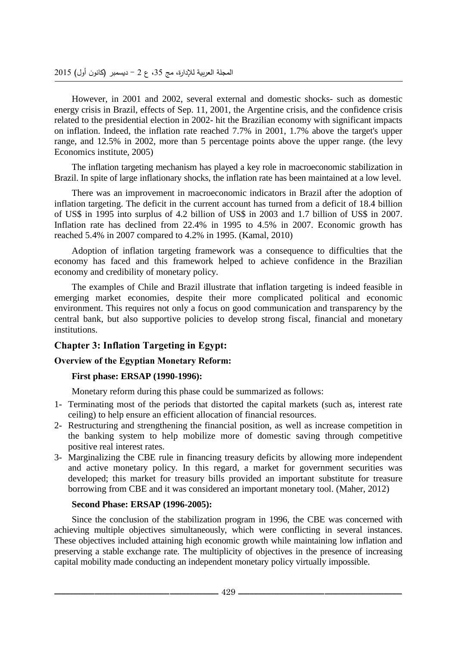However, in 2001 and 2002, several external and domestic shocks- such as domestic energy crisis in Brazil, effects of Sep. 11, 2001, the Argentine crisis, and the confidence crisis related to the presidential election in 2002- hit the Brazilian economy with significant impacts on inflation. Indeed, the inflation rate reached 7.7% in 2001, 1.7% above the target's upper range, and 12.5% in 2002, more than 5 percentage points above the upper range. (the levy Economics institute, 2005)

The inflation targeting mechanism has played a key role in macroeconomic stabilization in Brazil. In spite of large inflationary shocks, the inflation rate has been maintained at a low level.

There was an improvement in macroeconomic indicators in Brazil after the adoption of inflation targeting. The deficit in the current account has turned from a deficit of 18.4 billion of US\$ in 1995 into surplus of 4.2 billion of US\$ in 2003 and 1.7 billion of US\$ in 2007. Inflation rate has declined from 22.4% in 1995 to 4.5% in 2007. Economic growth has reached 5.4% in 2007 compared to 4.2% in 1995. (Kamal, 2010)

Adoption of inflation targeting framework was a consequence to difficulties that the economy has faced and this framework helped to achieve confidence in the Brazilian economy and credibility of monetary policy.

The examples of Chile and Brazil illustrate that inflation targeting is indeed feasible in emerging market economies, despite their more complicated political and economic environment. This requires not only a focus on good communication and transparency by the central bank, but also supportive policies to develop strong fiscal, financial and monetary institutions.

# **Chapter 3: Inflation Targeting in Egypt:**

## **Overview of the Egyptian Monetary Reform:**

## **First phase: ERSAP (1990-1996):**

Monetary reform during this phase could be summarized as follows:

- 1- Terminating most of the periods that distorted the capital markets (such as, interest rate ceiling) to help ensure an efficient allocation of financial resources.
- 2- Restructuring and strengthening the financial position, as well as increase competition in the banking system to help mobilize more of domestic saving through competitive positive real interest rates.
- 3- Marginalizing the CBE rule in financing treasury deficits by allowing more independent and active monetary policy. In this regard, a market for government securities was developed; this market for treasury bills provided an important substitute for treasure borrowing from CBE and it was considered an important monetary tool. (Maher, 2012)

#### **Second Phase: ERSAP (1996-2005):**

Since the conclusion of the stabilization program in 1996, the CBE was concerned with achieving multiple objectives simultaneously, which were conflicting in several instances. These objectives included attaining high economic growth while maintaining low inflation and preserving a stable exchange rate. The multiplicity of objectives in the presence of increasing capital mobility made conducting an independent monetary policy virtually impossible.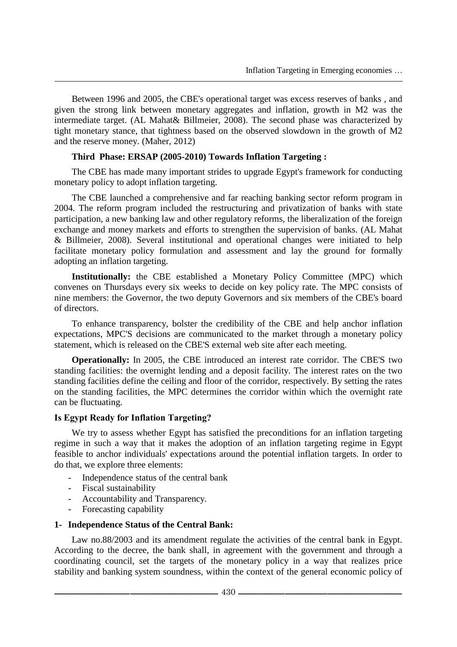Between 1996 and 2005, the CBE's operational target was excess reserves of banks , and given the strong link between monetary aggregates and inflation, growth in M2 was the intermediate target. (AL Mahat& Billmeier, 2008). The second phase was characterized by tight monetary stance, that tightness based on the observed slowdown in the growth of M2 and the reserve money. (Maher, 2012)

#### **Third Phase: ERSAP (2005-2010) Towards Inflation Targeting :**

The CBE has made many important strides to upgrade Egypt's framework for conducting monetary policy to adopt inflation targeting.

The CBE launched a comprehensive and far reaching banking sector reform program in 2004. The reform program included the restructuring and privatization of banks with state participation, a new banking law and other regulatory reforms, the liberalization of the foreign exchange and money markets and efforts to strengthen the supervision of banks. (AL Mahat & Billmeier, 2008). Several institutional and operational changes were initiated to help facilitate monetary policy formulation and assessment and lay the ground for formally adopting an inflation targeting.

**Institutionally:** the CBE established a Monetary Policy Committee (MPC) which convenes on Thursdays every six weeks to decide on key policy rate. The MPC consists of nine members: the Governor, the two deputy Governors and six members of the CBE's board of directors.

To enhance transparency, bolster the credibility of the CBE and help anchor inflation expectations, MPC'S decisions are communicated to the market through a monetary policy statement, which is released on the CBE'S external web site after each meeting.

**Operationally:** In 2005, the CBE introduced an interest rate corridor. The CBE'S two standing facilities: the overnight lending and a deposit facility. The interest rates on the two standing facilities define the ceiling and floor of the corridor, respectively. By setting the rates on the standing facilities, the MPC determines the corridor within which the overnight rate can be fluctuating.

#### **Is Egypt Ready for Inflation Targeting?**

We try to assess whether Egypt has satisfied the preconditions for an inflation targeting regime in such a way that it makes the adoption of an inflation targeting regime in Egypt feasible to anchor individuals' expectations around the potential inflation targets. In order to do that, we explore three elements:

- Independence status of the central bank
- Fiscal sustainability
- Accountability and Transparency.
- Forecasting capability

#### **1- Independence Status of the Central Bank:**

Law no.88/2003 and its amendment regulate the activities of the central bank in Egypt. According to the decree, the bank shall, in agreement with the government and through a coordinating council, set the targets of the monetary policy in a way that realizes price stability and banking system soundness, within the context of the general economic policy of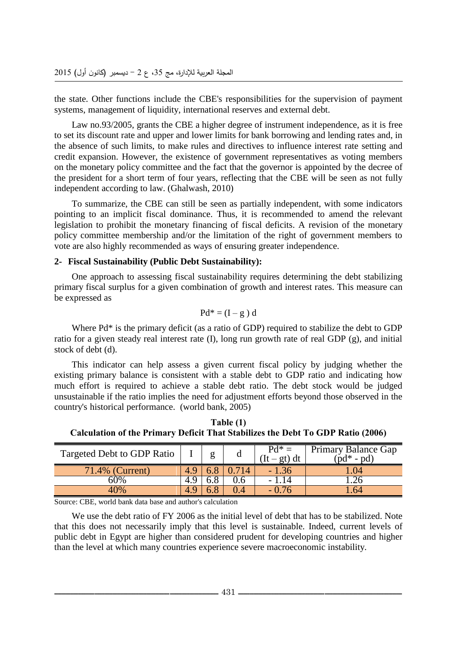the state. Other functions include the CBE's responsibilities for the supervision of payment systems, management of liquidity, international reserves and external debt.

Law no.93/2005, grants the CBE a higher degree of instrument independence, as it is free to set its discount rate and upper and lower limits for bank borrowing and lending rates and, in the absence of such limits, to make rules and directives to influence interest rate setting and credit expansion. However, the existence of government representatives as voting members on the monetary policy committee and the fact that the governor is appointed by the decree of the president for a short term of four years, reflecting that the CBE will be seen as not fully independent according to law. (Ghalwash, 2010)

To summarize, the CBE can still be seen as partially independent, with some indicators pointing to an implicit fiscal dominance. Thus, it is recommended to amend the relevant legislation to prohibit the monetary financing of fiscal deficits. A revision of the monetary policy committee membership and/or the limitation of the right of government members to vote are also highly recommended as ways of ensuring greater independence.

#### **2- Fiscal Sustainability (Public Debt Sustainability):**

One approach to assessing fiscal sustainability requires determining the debt stabilizing primary fiscal surplus for a given combination of growth and interest rates. This measure can be expressed as

$$
Pd^* = (I - g) d
$$

Where Pd\* is the primary deficit (as a ratio of GDP) required to stabilize the debt to GDP ratio for a given steady real interest rate (I), long run growth rate of real GDP (g), and initial stock of debt (d).

This indicator can help assess a given current fiscal policy by judging whether the existing primary balance is consistent with a stable debt to GDP ratio and indicating how much effort is required to achieve a stable debt ratio. The debt stock would be judged unsustainable if the ratio implies the need for adjustment efforts beyond those observed in the country's historical performance. (world bank, 2005)

**Table (1) Calculation of the Primary Deficit That Stabilizes the Debt To GDP Ratio (2006)**

| Targeted Debt to GDP Ratio |            |     |     | $Pd^* =$<br>$(It - gt) dt$ | Primary Balance Gap<br>$(\text{pd}^* - \text{pd})$ |
|----------------------------|------------|-----|-----|----------------------------|----------------------------------------------------|
| 71.4% (Current)            | 4.Y        |     |     | - 1.36                     | $\sqrt{4}$                                         |
| 60%                        | $\Delta$ Q | 6.8 | J.6 | 1.14                       |                                                    |
| 40%                        | Q          |     | .4  | $-0.76$                    | .64                                                |

Source: CBE, world bank data base and author's calculation

We use the debt ratio of FY 2006 as the initial level of debt that has to be stabilized. Note that this does not necessarily imply that this level is sustainable. Indeed, current levels of public debt in Egypt are higher than considered prudent for developing countries and higher than the level at which many countries experience severe macroeconomic instability.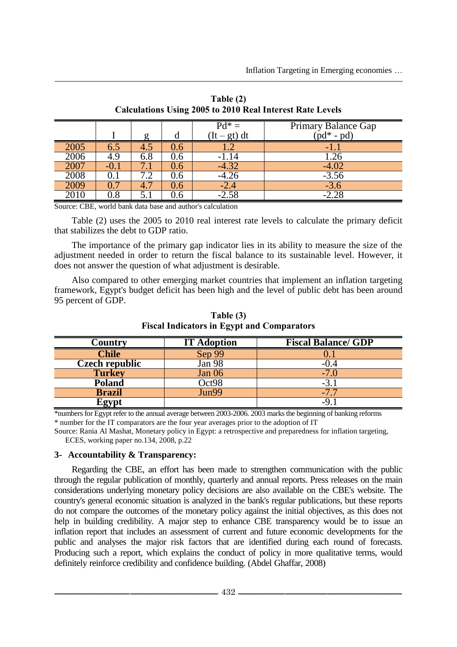|                   |         |     |         | $Pd^* =$       | Primary Balance Gap         |
|-------------------|---------|-----|---------|----------------|-----------------------------|
|                   |         |     |         | $(It - gt) dt$ | $\text{p}d^*$ - $\text{pd}$ |
| 2005              |         | 4.J | J.6     |                | - 1                         |
| $\overline{2006}$ | 4.9     | 6.8 | 0.6     | -1.14          | .26                         |
| 2007              | $-()$ . |     | J.6     | $-4.32$        | $-4.02$                     |
| 2008              |         |     | U.6     |                | $-3.56$                     |
| 2009              |         |     | J.O     | -2.4           | $-3.6$                      |
|                   | ). 8    |     | $\cdot$ |                |                             |

**Table (2) Calculations Using 2005 to 2010 Real Interest Rate Levels**

Source: CBE, world bank data base and author's calculation

Table (2) uses the 2005 to 2010 real interest rate levels to calculate the primary deficit that stabilizes the debt to GDP ratio.

The importance of the primary gap indicator lies in its ability to measure the size of the adjustment needed in order to return the fiscal balance to its sustainable level. However, it does not answer the question of what adjustment is desirable.

Also compared to other emerging market countries that implement an inflation targeting framework, Egypt's budget deficit has been high and the level of public debt has been around 95 percent of GDP.

| C <b>ountry</b>       | <b>IT Adoption</b> | <b>Fiscal Balance/ GDP</b> |
|-----------------------|--------------------|----------------------------|
| <b>Chile</b>          | Sep 99             |                            |
| <b>Czech republic</b> | Jan 98             | -0.4                       |
| <b>Turkey</b>         | Jan 06             | $-7.0$                     |
| <b>Poland</b>         | Oct98              | -3.                        |
| <b>Brazil</b>         | Jun99              | $-7$                       |
| \gvnt                 |                    |                            |

**Table (3) Fiscal Indicators in Egypt and Comparators**

\*numbers for Egypt refer to the annual average between 2003-2006. 2003 marks the beginning of banking reforms \* number for the IT comparators are the four year averages prior to the adoption of IT

Source: Rania Al Mashat, Monetary policy in Egypt: a retrospective and preparedness for inflation targeting, ECES, working paper no.134, 2008, p.22

#### **3- Accountability & Transparency:**

Regarding the CBE, an effort has been made to strengthen communication with the public through the regular publication of monthly, quarterly and annual reports. Press releases on the main considerations underlying monetary policy decisions are also available on the CBE's website. The country's general economic situation is analyzed in the bank's regular publications, but these reports do not compare the outcomes of the monetary policy against the initial objectives, as this does not help in building credibility. A major step to enhance CBE transparency would be to issue an inflation report that includes an assessment of current and future economic developments for the public and analyses the major risk factors that are identified during each round of forecasts. Producing such a report, which explains the conduct of policy in more qualitative terms, would definitely reinforce credibility and confidence building. (Abdel Ghaffar, 2008)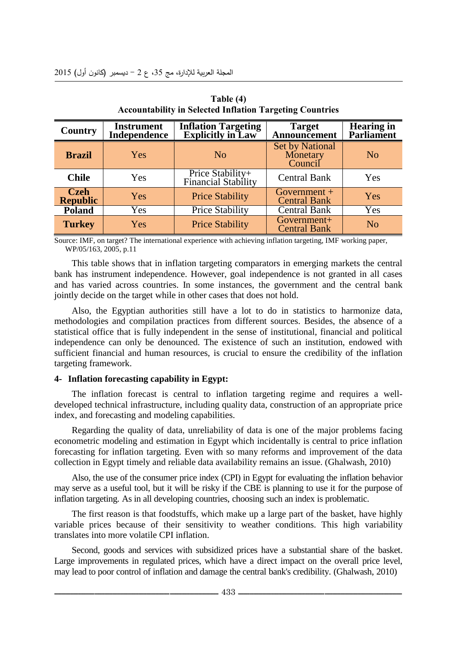| Country                        | <b>Instrument</b><br>Independence | <b>Inflation Targeting<br/>Explicitly in Law</b> | <b>Target</b><br>Announcement                 | <b>Hearing in</b><br><b>Parliament</b> |
|--------------------------------|-----------------------------------|--------------------------------------------------|-----------------------------------------------|----------------------------------------|
| <b>Brazil</b>                  | Yes                               | N <sub>o</sub>                                   | <b>Set by National</b><br>Monetary<br>Council | N <sub>o</sub>                         |
| <b>Chile</b>                   | Yes                               | Price Stability+<br>Financial Stability          | <b>Central Bank</b>                           | Yes                                    |
| <b>Czeh</b><br><b>Republic</b> | <b>Yes</b>                        | <b>Price Stability</b>                           | Government $+$<br><b>Central Bank</b>         | Yes                                    |
| <b>Poland</b>                  | Yes                               | <b>Price Stability</b>                           | <b>Central Bank</b>                           | Yes                                    |
| <b>Turkey</b>                  | Yes                               | <b>Price Stability</b>                           | Government+<br><b>Central Bank</b>            | N <sub>o</sub>                         |

**Table (4) Accountability in Selected Inflation Targeting Countries**

Source: IMF, on target? The international experience with achieving inflation targeting, IMF working paper, WP/05/163, 2005, p.11

This table shows that in inflation targeting comparators in emerging markets the central bank has instrument independence. However, goal independence is not granted in all cases and has varied across countries. In some instances, the government and the central bank jointly decide on the target while in other cases that does not hold.

Also, the Egyptian authorities still have a lot to do in statistics to harmonize data, methodologies and compilation practices from different sources. Besides, the absence of a statistical office that is fully independent in the sense of institutional, financial and political independence can only be denounced. The existence of such an institution, endowed with sufficient financial and human resources, is crucial to ensure the credibility of the inflation targeting framework.

#### **4- Inflation forecasting capability in Egypt:**

The inflation forecast is central to inflation targeting regime and requires a welldeveloped technical infrastructure, including quality data, construction of an appropriate price index, and forecasting and modeling capabilities.

Regarding the quality of data, unreliability of data is one of the major problems facing econometric modeling and estimation in Egypt which incidentally is central to price inflation forecasting for inflation targeting. Even with so many reforms and improvement of the data collection in Egypt timely and reliable data availability remains an issue. (Ghalwash, 2010)

Also, the use of the consumer price index (CPI) in Egypt for evaluating the inflation behavior may serve as a useful tool, but it will be risky if the CBE is planning to use it for the purpose of inflation targeting. As in all developing countries, choosing such an index is problematic.

The first reason is that foodstuffs, which make up a large part of the basket, have highly variable prices because of their sensitivity to weather conditions. This high variability translates into more volatile CPI inflation.

Second, goods and services with subsidized prices have a substantial share of the basket. Large improvements in regulated prices, which have a direct impact on the overall price level, may lead to poor control of inflation and damage the central bank's credibility. (Ghalwash, 2010)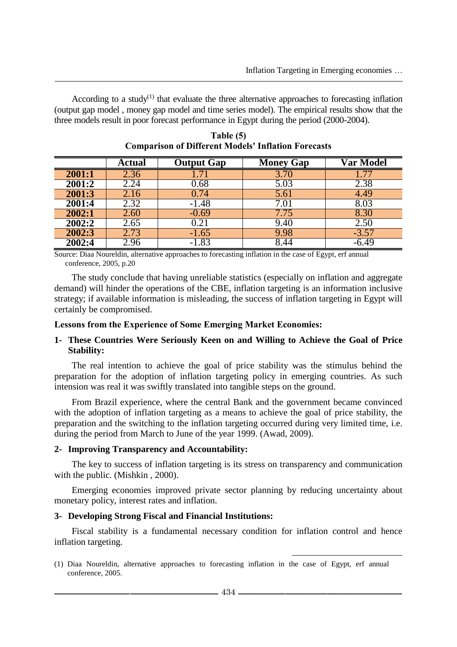According to a study<sup> $(1)$ </sup> that evaluate the three alternative approaches to forecasting inflation (output gap model , money gap model and time series model). The empirical results show that the three models result in poor forecast performance in Egypt during the period (2000-2004).

|        | Actual | <b>Output Gap</b> | <b>Money Gap</b> | Var Model         |
|--------|--------|-------------------|------------------|-------------------|
| 2001:1 | 2.36   |                   | 3.70             | 1.77              |
| 2001:2 | 2.24   | 0.68              | 5.03             | $2.\overline{38}$ |
| 2001:3 | 2.16   | 0.74              | 5.61             | 4.49              |
| 2001:4 | 2.32   | -1.48             | 7.01             | 8.03              |
| 2002:1 | 2.60   | $-0.69$           | 7.75             | 8.30              |
| 2002:2 | 2.65   |                   | 9.40             | 2.50              |
| 2002:3 | 2.73   | $-1.65$           | 9.98             | $-3.57$           |
| 2002:4 | 2.96   | $-1.83$           | .44              |                   |

**Table (5) Comparison of Different Models' Inflation Forecasts**

Source: Diaa Noureldin, alternative approaches to forecasting inflation in the case of Egypt, erf annual conference, 2005, p.20

The study conclude that having unreliable statistics (especially on inflation and aggregate demand) will hinder the operations of the CBE, inflation targeting is an information inclusive strategy; if available information is misleading, the success of inflation targeting in Egypt will certainly be compromised.

#### **Lessons from the Experience of Some Emerging Market Economies:**

## **1- These Countries Were Seriously Keen on and Willing to Achieve the Goal of Price Stability:**

The real intention to achieve the goal of price stability was the stimulus behind the preparation for the adoption of inflation targeting policy in emerging countries. As such intension was real it was swiftly translated into tangible steps on the ground.

From Brazil experience, where the central Bank and the government became convinced with the adoption of inflation targeting as a means to achieve the goal of price stability, the preparation and the switching to the inflation targeting occurred during very limited time, i.e. during the period from March to June of the year 1999. (Awad, 2009).

#### **2- Improving Transparency and Accountability:**

The key to success of inflation targeting is its stress on transparency and communication with the public. (Mishkin , 2000).

Emerging economies improved private sector planning by reducing uncertainty about monetary policy, interest rates and inflation.

#### **3- Developing Strong Fiscal and Financial Institutions:**

Fiscal stability is a fundamental necessary condition for inflation control and hence inflation targeting.

 $\overline{\phantom{a}}$ (1) Diaa Noureldin, alternative approaches to forecasting inflation in the case of Egypt, erf annual conference, 2005.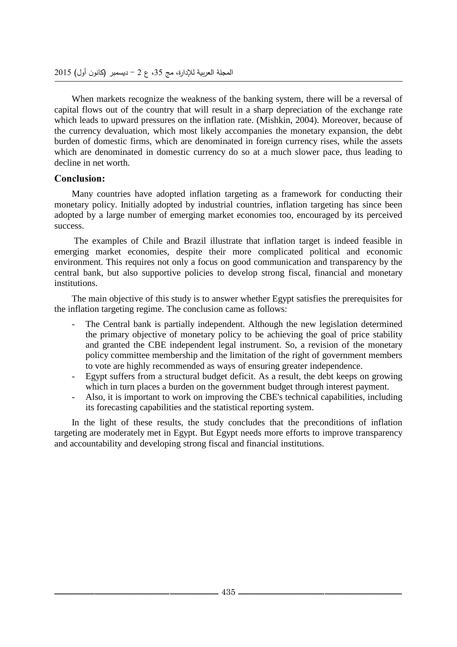When markets recognize the weakness of the banking system, there will be a reversal of capital flows out of the country that will result in a sharp depreciation of the exchange rate which leads to upward pressures on the inflation rate. (Mishkin, 2004). Moreover, because of the currency devaluation, which most likely accompanies the monetary expansion, the debt burden of domestic firms, which are denominated in foreign currency rises, while the assets which are denominated in domestic currency do so at a much slower pace, thus leading to decline in net worth.

## **Conclusion:**

Many countries have adopted inflation targeting as a framework for conducting their monetary policy. Initially adopted by industrial countries, inflation targeting has since been adopted by a large number of emerging market economies too, encouraged by its perceived success.

The examples of Chile and Brazil illustrate that inflation target is indeed feasible in emerging market economies, despite their more complicated political and economic environment. This requires not only a focus on good communication and transparency by the central bank, but also supportive policies to develop strong fiscal, financial and monetary institutions.

The main objective of this study is to answer whether Egypt satisfies the prerequisites for the inflation targeting regime. The conclusion came as follows:

- The Central bank is partially independent. Although the new legislation determined the primary objective of monetary policy to be achieving the goal of price stability and granted the CBE independent legal instrument. So, a revision of the monetary policy committee membership and the limitation of the right of government members to vote are highly recommended as ways of ensuring greater independence.
- Egypt suffers from a structural budget deficit. As a result, the debt keeps on growing which in turn places a burden on the government budget through interest payment.
- Also, it is important to work on improving the CBE's technical capabilities, including its forecasting capabilities and the statistical reporting system.

In the light of these results, the study concludes that the preconditions of inflation targeting are moderately met in Egypt. But Egypt needs more efforts to improve transparency and accountability and developing strong fiscal and financial institutions.